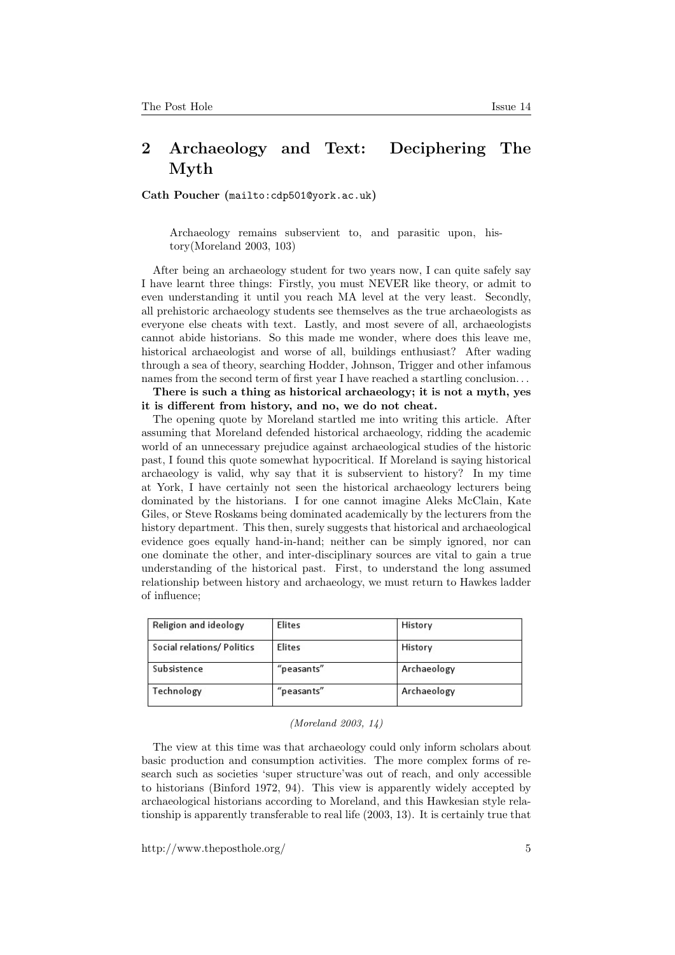## 2 Archaeology and Text: Deciphering The Myth

Cath Poucher (<mailto:cdp501@york.ac.uk>)

Archaeology remains subservient to, and parasitic upon, history(Moreland 2003, 103)

After being an archaeology student for two years now, I can quite safely say I have learnt three things: Firstly, you must NEVER like theory, or admit to even understanding it until you reach MA level at the very least. Secondly, all prehistoric archaeology students see themselves as the true archaeologists as everyone else cheats with text. Lastly, and most severe of all, archaeologists cannot abide historians. So this made me wonder, where does this leave me, historical archaeologist and worse of all, buildings enthusiast? After wading through a sea of theory, searching Hodder, Johnson, Trigger and other infamous names from the second term of first year I have reached a startling conclusion...

There is such a thing as historical archaeology; it is not a myth, yes it is different from history, and no, we do not cheat.

The opening quote by Moreland startled me into writing this article. After assuming that Moreland defended historical archaeology, ridding the academic world of an unnecessary prejudice against archaeological studies of the historic past, I found this quote somewhat hypocritical. If Moreland is saying historical archaeology is valid, why say that it is subservient to history? In my time at York, I have certainly not seen the historical archaeology lecturers being dominated by the historians. I for one cannot imagine Aleks McClain, Kate Giles, or Steve Roskams being dominated academically by the lecturers from the history department. This then, surely suggests that historical and archaeological evidence goes equally hand-in-hand; neither can be simply ignored, nor can one dominate the other, and inter-disciplinary sources are vital to gain a true understanding of the historical past. First, to understand the long assumed relationship between history and archaeology, we must return to Hawkes ladder of influence;

| Religion and ideology      | Elites     | History     |
|----------------------------|------------|-------------|
| Social relations/ Politics | Elites     | History     |
| Subsistence                | "peasants" | Archaeology |
| Technology                 | "peasants" | Archaeology |

## (Moreland 2003, 14)

The view at this time was that archaeology could only inform scholars about basic production and consumption activities. The more complex forms of research such as societies 'super structure'was out of reach, and only accessible to historians (Binford 1972, 94). This view is apparently widely accepted by archaeological historians according to Moreland, and this Hawkesian style relationship is apparently transferable to real life (2003, 13). It is certainly true that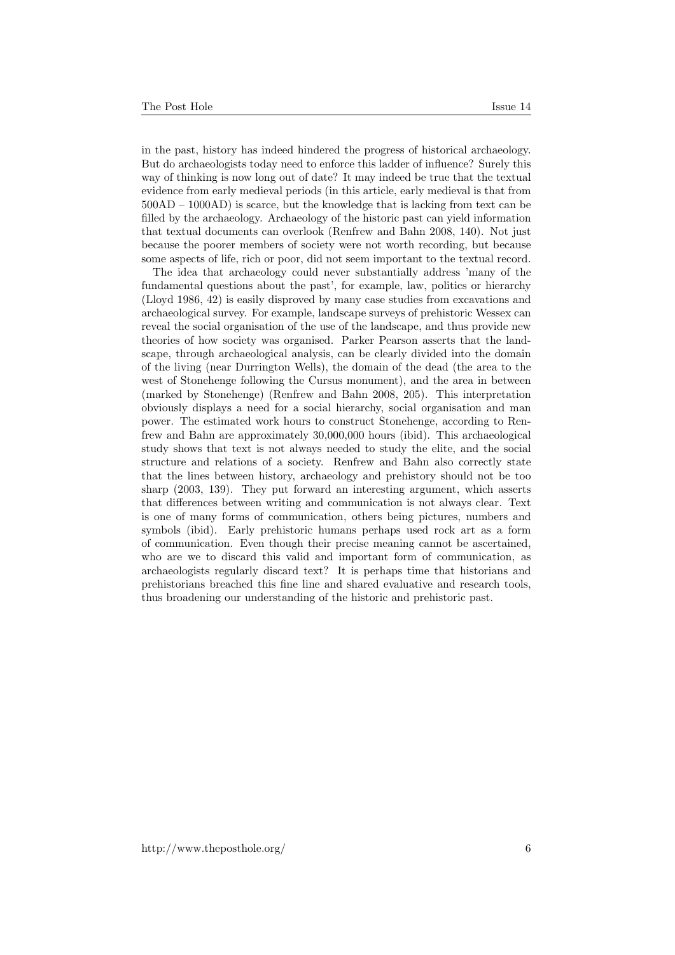in the past, history has indeed hindered the progress of historical archaeology. But do archaeologists today need to enforce this ladder of influence? Surely this way of thinking is now long out of date? It may indeed be true that the textual evidence from early medieval periods (in this article, early medieval is that from 500AD – 1000AD) is scarce, but the knowledge that is lacking from text can be filled by the archaeology. Archaeology of the historic past can yield information that textual documents can overlook (Renfrew and Bahn 2008, 140). Not just because the poorer members of society were not worth recording, but because some aspects of life, rich or poor, did not seem important to the textual record.

The idea that archaeology could never substantially address 'many of the fundamental questions about the past', for example, law, politics or hierarchy (Lloyd 1986, 42) is easily disproved by many case studies from excavations and archaeological survey. For example, landscape surveys of prehistoric Wessex can reveal the social organisation of the use of the landscape, and thus provide new theories of how society was organised. Parker Pearson asserts that the landscape, through archaeological analysis, can be clearly divided into the domain of the living (near Durrington Wells), the domain of the dead (the area to the west of Stonehenge following the Cursus monument), and the area in between (marked by Stonehenge) (Renfrew and Bahn 2008, 205). This interpretation obviously displays a need for a social hierarchy, social organisation and man power. The estimated work hours to construct Stonehenge, according to Renfrew and Bahn are approximately 30,000,000 hours (ibid). This archaeological study shows that text is not always needed to study the elite, and the social structure and relations of a society. Renfrew and Bahn also correctly state that the lines between history, archaeology and prehistory should not be too sharp (2003, 139). They put forward an interesting argument, which asserts that differences between writing and communication is not always clear. Text is one of many forms of communication, others being pictures, numbers and symbols (ibid). Early prehistoric humans perhaps used rock art as a form of communication. Even though their precise meaning cannot be ascertained, who are we to discard this valid and important form of communication, as archaeologists regularly discard text? It is perhaps time that historians and prehistorians breached this fine line and shared evaluative and research tools, thus broadening our understanding of the historic and prehistoric past.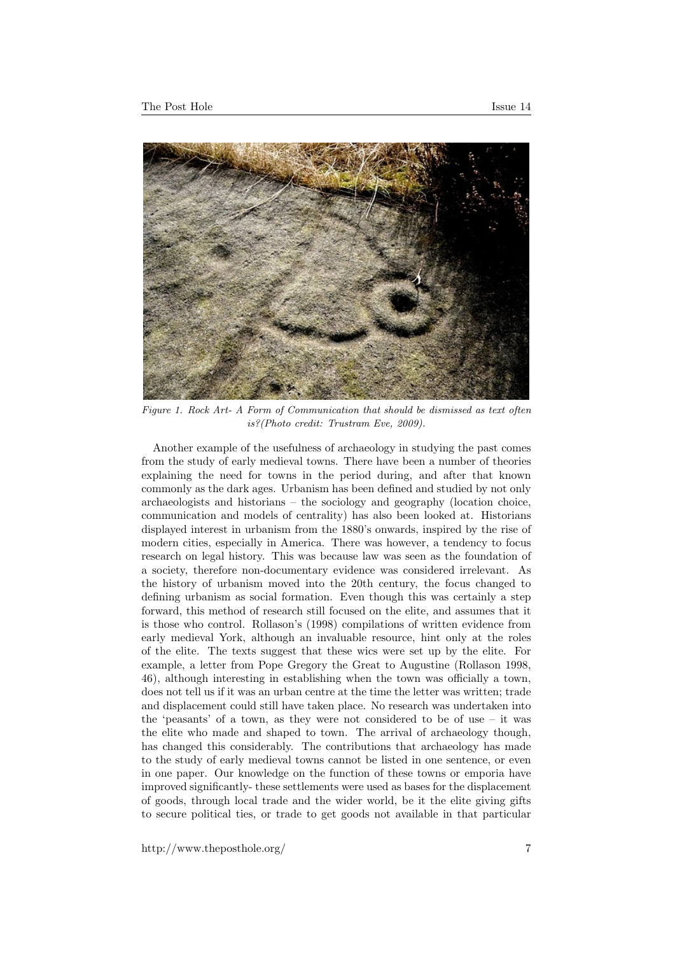

Figure 1. Rock Art- A Form of Communication that should be dismissed as text often is?(Photo credit: Trustram Eve, 2009).

Another example of the usefulness of archaeology in studying the past comes from the study of early medieval towns. There have been a number of theories explaining the need for towns in the period during, and after that known commonly as the dark ages. Urbanism has been defined and studied by not only archaeologists and historians – the sociology and geography (location choice, communication and models of centrality) has also been looked at. Historians displayed interest in urbanism from the 1880's onwards, inspired by the rise of modern cities, especially in America. There was however, a tendency to focus research on legal history. This was because law was seen as the foundation of a society, therefore non-documentary evidence was considered irrelevant. As the history of urbanism moved into the 20th century, the focus changed to defining urbanism as social formation. Even though this was certainly a step forward, this method of research still focused on the elite, and assumes that it is those who control. Rollason's (1998) compilations of written evidence from early medieval York, although an invaluable resource, hint only at the roles of the elite. The texts suggest that these wics were set up by the elite. For example, a letter from Pope Gregory the Great to Augustine (Rollason 1998, 46), although interesting in establishing when the town was officially a town, does not tell us if it was an urban centre at the time the letter was written; trade and displacement could still have taken place. No research was undertaken into the 'peasants' of a town, as they were not considered to be of use  $-$  it was the elite who made and shaped to town. The arrival of archaeology though, has changed this considerably. The contributions that archaeology has made to the study of early medieval towns cannot be listed in one sentence, or even in one paper. Our knowledge on the function of these towns or emporia have improved significantly- these settlements were used as bases for the displacement of goods, through local trade and the wider world, be it the elite giving gifts to secure political ties, or trade to get goods not available in that particular

http://www.theposthole.org/ 7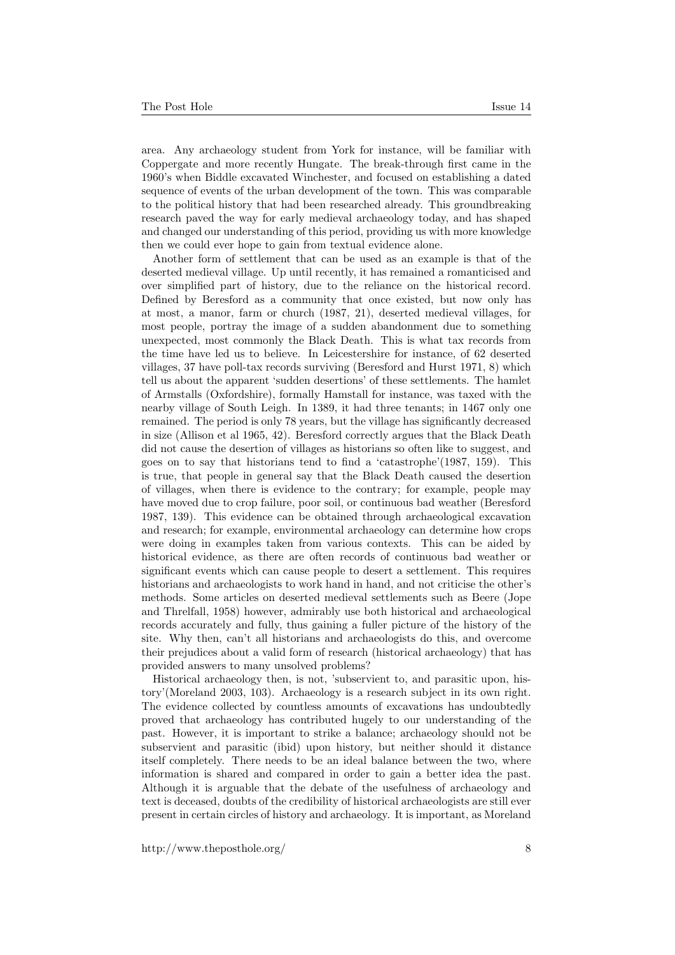area. Any archaeology student from York for instance, will be familiar with Coppergate and more recently Hungate. The break-through first came in the 1960's when Biddle excavated Winchester, and focused on establishing a dated sequence of events of the urban development of the town. This was comparable to the political history that had been researched already. This groundbreaking research paved the way for early medieval archaeology today, and has shaped and changed our understanding of this period, providing us with more knowledge then we could ever hope to gain from textual evidence alone.

Another form of settlement that can be used as an example is that of the deserted medieval village. Up until recently, it has remained a romanticised and over simplified part of history, due to the reliance on the historical record. Defined by Beresford as a community that once existed, but now only has at most, a manor, farm or church (1987, 21), deserted medieval villages, for most people, portray the image of a sudden abandonment due to something unexpected, most commonly the Black Death. This is what tax records from the time have led us to believe. In Leicestershire for instance, of 62 deserted villages, 37 have poll-tax records surviving (Beresford and Hurst 1971, 8) which tell us about the apparent 'sudden desertions' of these settlements. The hamlet of Armstalls (Oxfordshire), formally Hamstall for instance, was taxed with the nearby village of South Leigh. In 1389, it had three tenants; in 1467 only one remained. The period is only 78 years, but the village has significantly decreased in size (Allison et al 1965, 42). Beresford correctly argues that the Black Death did not cause the desertion of villages as historians so often like to suggest, and goes on to say that historians tend to find a 'catastrophe'(1987, 159). This is true, that people in general say that the Black Death caused the desertion of villages, when there is evidence to the contrary; for example, people may have moved due to crop failure, poor soil, or continuous bad weather (Beresford 1987, 139). This evidence can be obtained through archaeological excavation and research; for example, environmental archaeology can determine how crops were doing in examples taken from various contexts. This can be aided by historical evidence, as there are often records of continuous bad weather or significant events which can cause people to desert a settlement. This requires historians and archaeologists to work hand in hand, and not criticise the other's methods. Some articles on deserted medieval settlements such as Beere (Jope and Threlfall, 1958) however, admirably use both historical and archaeological records accurately and fully, thus gaining a fuller picture of the history of the site. Why then, can't all historians and archaeologists do this, and overcome their prejudices about a valid form of research (historical archaeology) that has provided answers to many unsolved problems?

Historical archaeology then, is not, 'subservient to, and parasitic upon, history'(Moreland 2003, 103). Archaeology is a research subject in its own right. The evidence collected by countless amounts of excavations has undoubtedly proved that archaeology has contributed hugely to our understanding of the past. However, it is important to strike a balance; archaeology should not be subservient and parasitic (ibid) upon history, but neither should it distance itself completely. There needs to be an ideal balance between the two, where information is shared and compared in order to gain a better idea the past. Although it is arguable that the debate of the usefulness of archaeology and text is deceased, doubts of the credibility of historical archaeologists are still ever present in certain circles of history and archaeology. It is important, as Moreland

http://www.theposthole.org/ 8